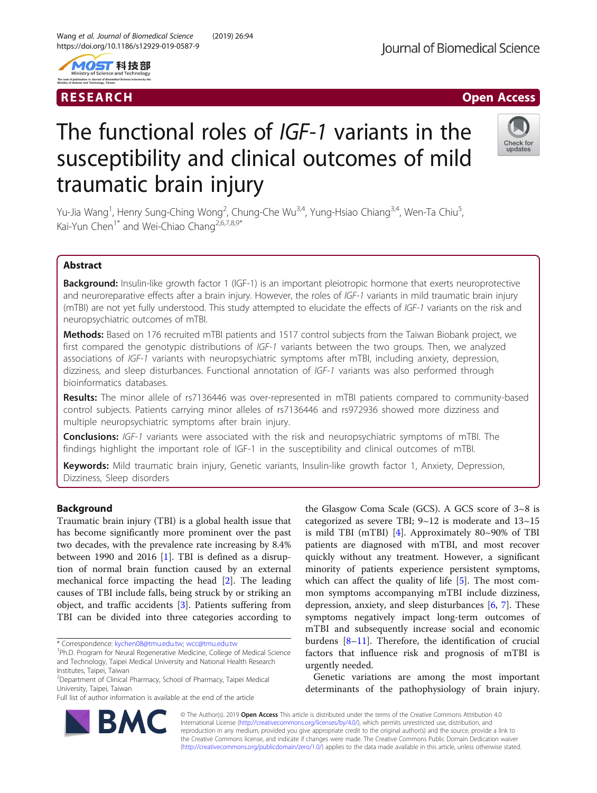



# The functional roles of IGF-1 variants in the susceptibility and clinical outcomes of mild traumatic brain injury



Yu-Jia Wang<sup>1</sup>, Henry Sung-Ching Wong<sup>2</sup>, Chung-Che Wu<sup>3,4</sup>, Yung-Hsiao Chiang<sup>3,4</sup>, Wen-Ta Chiu<sup>5</sup> , Kai-Yun Chen<sup>1\*</sup> and Wei-Chiao Chang<sup>2,6,7,8,9\*</sup>

# Abstract

Background: Insulin-like growth factor 1 (IGF-1) is an important pleiotropic hormone that exerts neuroprotective and neuroreparative effects after a brain injury. However, the roles of IGF-1 variants in mild traumatic brain injury (mTBI) are not yet fully understood. This study attempted to elucidate the effects of IGF-1 variants on the risk and neuropsychiatric outcomes of mTBI.

Methods: Based on 176 recruited mTBI patients and 1517 control subjects from the Taiwan Biobank project, we first compared the genotypic distributions of IGF-1 variants between the two groups. Then, we analyzed associations of IGF-1 variants with neuropsychiatric symptoms after mTBI, including anxiety, depression, dizziness, and sleep disturbances. Functional annotation of IGF-1 variants was also performed through bioinformatics databases.

Results: The minor allele of rs7136446 was over-represented in mTBI patients compared to community-based control subjects. Patients carrying minor alleles of rs7136446 and rs972936 showed more dizziness and multiple neuropsychiatric symptoms after brain injury.

**Conclusions:** IGF-1 variants were associated with the risk and neuropsychiatric symptoms of mTBI. The findings highlight the important role of IGF-1 in the susceptibility and clinical outcomes of mTBI.

Keywords: Mild traumatic brain injury, Genetic variants, Insulin-like growth factor 1, Anxiety, Depression, Dizziness, Sleep disorders

# Background

Traumatic brain injury (TBI) is a global health issue that has become significantly more prominent over the past two decades, with the prevalence rate increasing by 8.4% between 1990 and 2016 [\[1](#page-10-0)]. TBI is defined as a disruption of normal brain function caused by an external mechanical force impacting the head [[2\]](#page-10-0). The leading causes of TBI include falls, being struck by or striking an object, and traffic accidents [[3\]](#page-10-0). Patients suffering from TBI can be divided into three categories according to

\* Correspondence: [kychen08@tmu.edu.tw](mailto:kychen08@tmu.edu.tw); [wcc@tmu.edu.tw](mailto:wcc@tmu.edu.tw) <sup>1</sup>

Full list of author information is available at the end of the article

the Glasgow Coma Scale (GCS). A GCS score of 3~8 is categorized as severe TBI;  $9~12$  is moderate and  $13~15$ is mild TBI (mTBI) [\[4\]](#page-10-0). Approximately 80~90% of TBI patients are diagnosed with mTBI, and most recover quickly without any treatment. However, a significant minority of patients experience persistent symptoms, which can affect the quality of life  $[5]$  $[5]$ . The most common symptoms accompanying mTBI include dizziness, depression, anxiety, and sleep disturbances [[6,](#page-10-0) [7](#page-10-0)]. These symptoms negatively impact long-term outcomes of mTBI and subsequently increase social and economic burdens [\[8](#page-10-0)–[11](#page-10-0)]. Therefore, the identification of crucial factors that influence risk and prognosis of mTBI is urgently needed.

Genetic variations are among the most important determinants of the pathophysiology of brain injury.



© The Author(s). 2019 **Open Access** This article is distributed under the terms of the Creative Commons Attribution 4.0 International License [\(http://creativecommons.org/licenses/by/4.0/](http://creativecommons.org/licenses/by/4.0/)), which permits unrestricted use, distribution, and reproduction in any medium, provided you give appropriate credit to the original author(s) and the source, provide a link to the Creative Commons license, and indicate if changes were made. The Creative Commons Public Domain Dedication waiver [\(http://creativecommons.org/publicdomain/zero/1.0/](http://creativecommons.org/publicdomain/zero/1.0/)) applies to the data made available in this article, unless otherwise stated.

<sup>&</sup>lt;sup>1</sup>Ph.D. Program for Neural Regenerative Medicine, College of Medical Science and Technology, Taipei Medical University and National Health Research Institutes, Taipei, Taiwan

<sup>2</sup> Department of Clinical Pharmacy, School of Pharmacy, Taipei Medical University, Taipei, Taiwan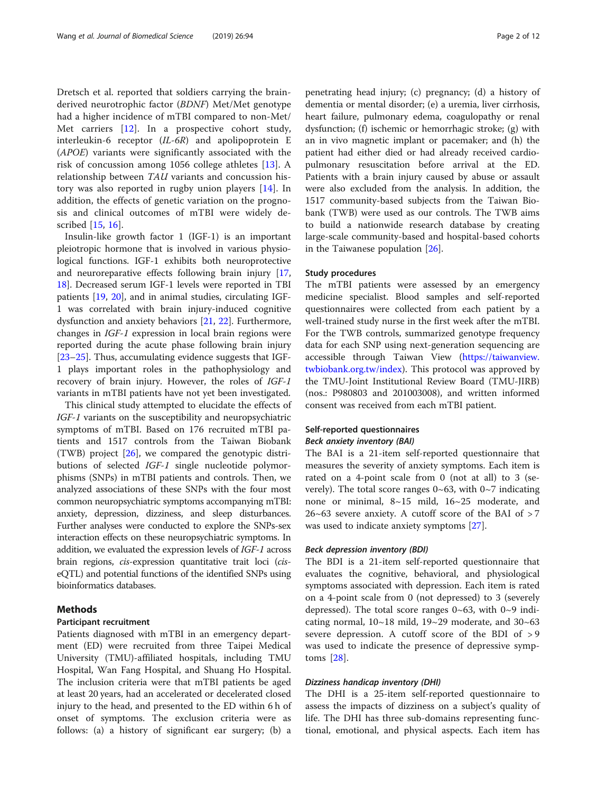Dretsch et al. reported that soldiers carrying the brainderived neurotrophic factor (BDNF) Met/Met genotype had a higher incidence of mTBI compared to non-Met/ Met carriers [[12\]](#page-10-0). In a prospective cohort study, interleukin-6 receptor (IL-6R) and apolipoprotein E (APOE) variants were significantly associated with the risk of concussion among 1056 college athletes [\[13](#page-10-0)]. A relationship between TAU variants and concussion history was also reported in rugby union players [\[14](#page-10-0)]. In addition, the effects of genetic variation on the prognosis and clinical outcomes of mTBI were widely described [[15,](#page-10-0) [16\]](#page-10-0).

Insulin-like growth factor 1 (IGF-1) is an important pleiotropic hormone that is involved in various physiological functions. IGF-1 exhibits both neuroprotective and neuroreparative effects following brain injury [[17](#page-10-0), [18\]](#page-10-0). Decreased serum IGF-1 levels were reported in TBI patients [\[19](#page-10-0), [20\]](#page-10-0), and in animal studies, circulating IGF-1 was correlated with brain injury-induced cognitive dysfunction and anxiety behaviors [[21,](#page-10-0) [22\]](#page-10-0). Furthermore, changes in IGF-1 expression in local brain regions were reported during the acute phase following brain injury [[23](#page-10-0)–[25](#page-10-0)]. Thus, accumulating evidence suggests that IGF-1 plays important roles in the pathophysiology and recovery of brain injury. However, the roles of IGF-1 variants in mTBI patients have not yet been investigated.

This clinical study attempted to elucidate the effects of IGF-1 variants on the susceptibility and neuropsychiatric symptoms of mTBI. Based on 176 recruited mTBI patients and 1517 controls from the Taiwan Biobank (TWB) project [\[26](#page-10-0)], we compared the genotypic distributions of selected IGF-1 single nucleotide polymorphisms (SNPs) in mTBI patients and controls. Then, we analyzed associations of these SNPs with the four most common neuropsychiatric symptoms accompanying mTBI: anxiety, depression, dizziness, and sleep disturbances. Further analyses were conducted to explore the SNPs-sex interaction effects on these neuropsychiatric symptoms. In addition, we evaluated the expression levels of IGF-1 across brain regions, cis-expression quantitative trait loci (ciseQTL) and potential functions of the identified SNPs using bioinformatics databases.

# **Methods**

### Participant recruitment

Patients diagnosed with mTBI in an emergency department (ED) were recruited from three Taipei Medical University (TMU)-affiliated hospitals, including TMU Hospital, Wan Fang Hospital, and Shuang Ho Hospital. The inclusion criteria were that mTBI patients be aged at least 20 years, had an accelerated or decelerated closed injury to the head, and presented to the ED within 6 h of onset of symptoms. The exclusion criteria were as follows: (a) a history of significant ear surgery; (b) a penetrating head injury; (c) pregnancy; (d) a history of dementia or mental disorder; (e) a uremia, liver cirrhosis, heart failure, pulmonary edema, coagulopathy or renal dysfunction; (f) ischemic or hemorrhagic stroke; (g) with an in vivo magnetic implant or pacemaker; and (h) the patient had either died or had already received cardiopulmonary resuscitation before arrival at the ED. Patients with a brain injury caused by abuse or assault were also excluded from the analysis. In addition, the 1517 community-based subjects from the Taiwan Biobank (TWB) were used as our controls. The TWB aims to build a nationwide research database by creating large-scale community-based and hospital-based cohorts in the Taiwanese population [\[26](#page-10-0)].

#### Study procedures

The mTBI patients were assessed by an emergency medicine specialist. Blood samples and self-reported questionnaires were collected from each patient by a well-trained study nurse in the first week after the mTBI. For the TWB controls, summarized genotype frequency data for each SNP using next-generation sequencing are accessible through Taiwan View [\(https://taiwanview.](https://taiwanview.twbiobank.org.tw/index) [twbiobank.org.tw/index](https://taiwanview.twbiobank.org.tw/index)). This protocol was approved by the TMU-Joint Institutional Review Board (TMU-JIRB) (nos.: P980803 and 201003008), and written informed consent was received from each mTBI patient.

# Self-reported questionnaires Beck anxiety inventory (BAI)

The BAI is a 21-item self-reported questionnaire that measures the severity of anxiety symptoms. Each item is rated on a 4-point scale from 0 (not at all) to 3 (severely). The total score ranges  $0 \sim 63$ , with  $0 \sim 7$  indicating none or minimal, 8~15 mild, 16~25 moderate, and  $26~63$  severe anxiety. A cutoff score of the BAI of  $>7$ was used to indicate anxiety symptoms [[27](#page-10-0)].

#### Beck depression inventory (BDI)

The BDI is a 21-item self-reported questionnaire that evaluates the cognitive, behavioral, and physiological symptoms associated with depression. Each item is rated on a 4-point scale from 0 (not depressed) to 3 (severely depressed). The total score ranges  $0 \sim 63$ , with  $0 \sim 9$  indicating normal, 10~18 mild, 19~29 moderate, and 30~63 severe depression. A cutoff score of the BDI of > 9 was used to indicate the presence of depressive symptoms [[28](#page-10-0)].

# Dizziness handicap inventory (DHI)

The DHI is a 25-item self-reported questionnaire to assess the impacts of dizziness on a subject's quality of life. The DHI has three sub-domains representing functional, emotional, and physical aspects. Each item has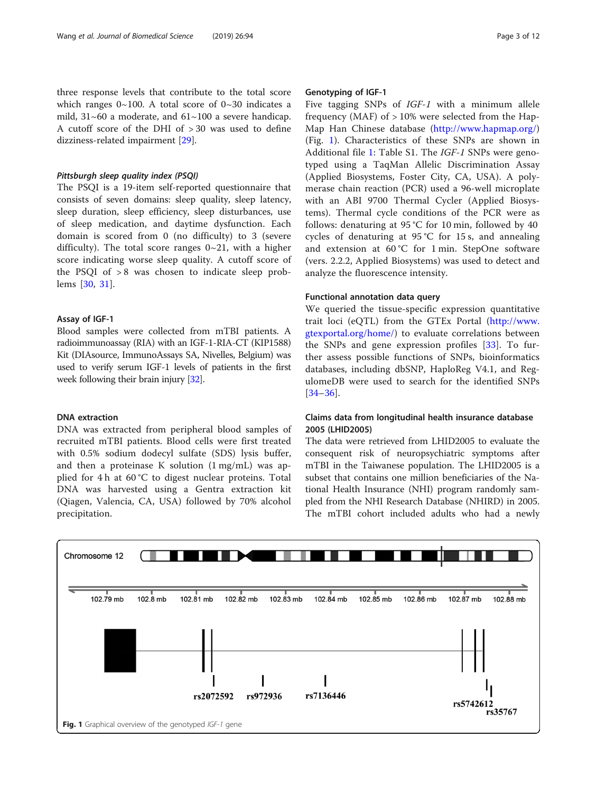three response levels that contribute to the total score which ranges  $0 \sim 100$ . A total score of  $0 \sim 30$  indicates a mild, 31~60 a moderate, and 61~100 a severe handicap. A cutoff score of the DHI of > 30 was used to define dizziness-related impairment [\[29\]](#page-10-0).

# Pittsburgh sleep quality index (PSQI)

The PSQI is a 19-item self-reported questionnaire that consists of seven domains: sleep quality, sleep latency, sleep duration, sleep efficiency, sleep disturbances, use of sleep medication, and daytime dysfunction. Each domain is scored from 0 (no difficulty) to 3 (severe difficulty). The total score ranges  $0 \sim 21$ , with a higher score indicating worse sleep quality. A cutoff score of the PSQI of > 8 was chosen to indicate sleep problems [\[30](#page-10-0), [31](#page-10-0)].

# Assay of IGF-1

Blood samples were collected from mTBI patients. A radioimmunoassay (RIA) with an IGF-1-RIA-CT (KIP1588) Kit (DIAsource, ImmunoAssays SA, Nivelles, Belgium) was used to verify serum IGF-1 levels of patients in the first week following their brain injury [[32](#page-11-0)].

#### DNA extraction

DNA was extracted from peripheral blood samples of recruited mTBI patients. Blood cells were first treated with 0.5% sodium dodecyl sulfate (SDS) lysis buffer, and then a proteinase K solution (1 mg/mL) was applied for 4 h at 60 °C to digest nuclear proteins. Total DNA was harvested using a Gentra extraction kit (Qiagen, Valencia, CA, USA) followed by 70% alcohol precipitation.

# Genotyping of IGF-1

Five tagging SNPs of IGF-1 with a minimum allele frequency (MAF) of  $> 10\%$  were selected from the Hap-Map Han Chinese database (<http://www.hapmap.org/>) (Fig. 1). Characteristics of these SNPs are shown in Additional file [1:](#page-9-0) Table S1. The IGF-1 SNPs were genotyped using a TaqMan Allelic Discrimination Assay (Applied Biosystems, Foster City, CA, USA). A polymerase chain reaction (PCR) used a 96-well microplate with an ABI 9700 Thermal Cycler (Applied Biosystems). Thermal cycle conditions of the PCR were as follows: denaturing at 95 °C for 10 min, followed by 40 cycles of denaturing at 95 °C for 15 s, and annealing and extension at 60 °C for 1 min. StepOne software (vers. 2.2.2, Applied Biosystems) was used to detect and analyze the fluorescence intensity.

# Functional annotation data query

We queried the tissue-specific expression quantitative trait loci (eQTL) from the GTEx Portal ([http://www.](http://www.gtexportal.org/home/) [gtexportal.org/home/\)](http://www.gtexportal.org/home/) to evaluate correlations between the SNPs and gene expression profiles [[33\]](#page-11-0). To further assess possible functions of SNPs, bioinformatics databases, including dbSNP, HaploReg V4.1, and RegulomeDB were used to search for the identified SNPs [[34](#page-11-0)–[36\]](#page-11-0).

# Claims data from longitudinal health insurance database 2005 (LHID2005)

The data were retrieved from LHID2005 to evaluate the consequent risk of neuropsychiatric symptoms after mTBI in the Taiwanese population. The LHID2005 is a subset that contains one million beneficiaries of the National Health Insurance (NHI) program randomly sampled from the NHI Research Database (NHIRD) in 2005. The mTBI cohort included adults who had a newly

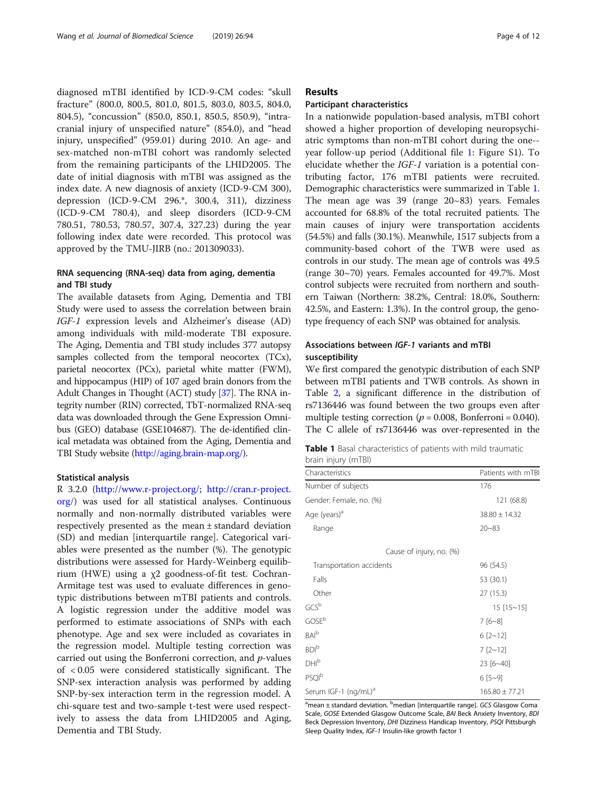diagnosed mTBI identified by ICD-9-CM codes: "skull fracture" (800.0, 800.5, 801.0, 801.5, 803.0, 803.5, 804.0, 804.5), "concussion" (850.0, 850.1, 850.5, 850.9), "intracranial injury of unspecified nature" (854.0), and "head injury, unspecified" (959.01) during 2010. An age- and sex-matched non-mTBI cohort was randomly selected from the remaining participants of the LHID2005. The date of initial diagnosis with mTBI was assigned as the index date. A new diagnosis of anxiety (ICD-9-CM 300), depression (ICD-9-CM 296.\*, 300.4, 311), dizziness (ICD-9-CM 780.4), and sleep disorders (ICD-9-CM 780.51, 780.53, 780.57, 307.4, 327.23) during the year following index date were recorded. This protocol was approved by the TMU-JIRB (no.: 201309033).

# RNA sequencing (RNA-seq) data from aging, dementia and TBI study

The available datasets from Aging, Dementia and TBI Study were used to assess the correlation between brain IGF-1 expression levels and Alzheimer's disease (AD) among individuals with mild-moderate TBI exposure. The Aging, Dementia and TBI study includes 377 autopsy samples collected from the temporal neocortex (TCx), parietal neocortex (PCx), parietal white matter (FWM), and hippocampus (HIP) of 107 aged brain donors from the Adult Changes in Thought (ACT) study [\[37](#page-11-0)]. The RNA integrity number (RIN) corrected, TbT-normalized RNA-seq data was downloaded through the Gene Expression Omnibus (GEO) database (GSE104687). The de-identified clinical metadata was obtained from the Aging, Dementia and TBI Study website [\(http://aging.brain-map.org/](http://aging.brain-map.org/)).

#### Statistical analysis

R 3.2.0 [\(http://www.r-project.org/;](http://www.r-project.org/;) [http://cran.r-project.](http://cran.r-project.org/) [org/\)](http://cran.r-project.org/) was used for all statistical analyses. Continuous normally and non-normally distributed variables were respectively presented as the mean ± standard deviation (SD) and median [interquartile range]. Categorical variables were presented as the number (%). The genotypic distributions were assessed for Hardy-Weinberg equilibrium (HWE) using a χ2 goodness-of-fit test. Cochran-Armitage test was used to evaluate differences in genotypic distributions between mTBI patients and controls. A logistic regression under the additive model was performed to estimate associations of SNPs with each phenotype. Age and sex were included as covariates in the regression model. Multiple testing correction was carried out using the Bonferroni correction, and  $p$ -values of < 0.05 were considered statistically significant. The SNP-sex interaction analysis was performed by adding SNP-by-sex interaction term in the regression model. A chi-square test and two-sample t-test were used respectively to assess the data from LHID2005 and Aging, Dementia and TBI Study.

# Results

### Participant characteristics

In a nationwide population-based analysis, mTBI cohort showed a higher proportion of developing neuropsychiatric symptoms than non-mTBI cohort during the one- year follow-up period (Additional file [1](#page-9-0): Figure S1). To elucidate whether the IGF-1 variation is a potential contributing factor, 176 mTBI patients were recruited. Demographic characteristics were summarized in Table 1. The mean age was 39 (range  $20~-83$ ) years. Females accounted for 68.8% of the total recruited patients. The main causes of injury were transportation accidents (54.5%) and falls (30.1%). Meanwhile, 1517 subjects from a community-based cohort of the TWB were used as controls in our study. The mean age of controls was 49.5 (range 30~70) years. Females accounted for 49.7%. Most control subjects were recruited from northern and southern Taiwan (Northern: 38.2%, Central: 18.0%, Southern: 42.5%, and Eastern: 1.3%). In the control group, the genotype frequency of each SNP was obtained for analysis.

# Associations between IGF-1 variants and mTBI susceptibility

We first compared the genotypic distribution of each SNP between mTBI patients and TWB controls. As shown in Table [2,](#page-4-0) a significant difference in the distribution of rs7136446 was found between the two groups even after multiple testing correction ( $p = 0.008$ , Bonferroni = 0.040). The C allele of rs7136446 was over-represented in the

|                     | <b>Table 1</b> Basal characteristics of patients with mild traumatic |  |  |  |
|---------------------|----------------------------------------------------------------------|--|--|--|
| brain injury (mTBI) |                                                                      |  |  |  |

| Characteristics                  | Patients with mTBI |
|----------------------------------|--------------------|
| Number of subjects               | 176                |
| Gender: Female, no. (%)          | 121 (68.8)         |
| Age (years) <sup>a</sup>         | $38.80 \pm 14.32$  |
| Range                            | $20 - 83$          |
| Cause of injury, no. (%)         |                    |
| Transportation accidents         | 96 (54.5)          |
| Falls                            | 53 (30.1)          |
| Other                            | 27 (15.3)          |
| $GCS^b$                          | $15$ [15~15]       |
| GOSE <sup>b</sup>                | $7[6-8]$           |
| BAI <sup>b</sup>                 | $6$ [2~12]         |
| <b>BDI</b> b                     | $7$ [2~12]         |
| DHI <sup>b</sup>                 | 23 [6~40]          |
| <b>PSOI</b> b                    | $6[5-9]$           |
| Serum IGF-1 (ng/mL) <sup>a</sup> | $165.80 \pm 77.21$ |
|                                  |                    |

<sup>a</sup>mean ± standard deviation. <sup>b</sup>median [interquartile range]. GCS Glasgow Coma Scale, GOSE Extended Glasgow Outcome Scale, BAI Beck Anxiety Inventory, BDI Beck Depression Inventory, DHI Dizziness Handicap Inventory, PSQI Pittsburgh Sleep Quality Index, IGF-1 Insulin-like growth factor 1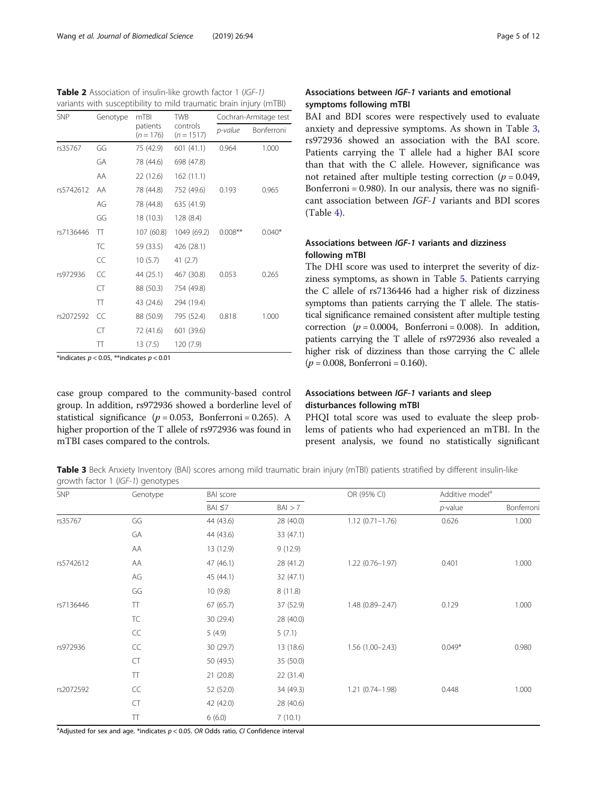<span id="page-4-0"></span>Table 2 Association of insulin-like growth factor 1 (IGF-1) variants with susceptibility to mild traumatic brain injury (mTBI)

| <b>SNP</b> | Genotype | mTBI                    | <b>TWB</b>               | Cochran-Armitage test |            |  |
|------------|----------|-------------------------|--------------------------|-----------------------|------------|--|
|            |          | patients<br>$(n = 176)$ | controls<br>$(n = 1517)$ | p-value               | Bonferroni |  |
| rs35767    | GG       | 75 (42.9)               | 601(41.1)                | 0.964                 | 1.000      |  |
|            | GA       | 78 (44.6)               | 698 (47.8)               |                       |            |  |
|            | AA       | 22 (12.6)               | 162(11.1)                |                       |            |  |
| rs5742612  | AA       | 78 (44.8)               | 752 (49.6)               | 0.193                 | 0.965      |  |
|            | AG       | 78 (44.8)               | 635 (41.9)               |                       |            |  |
|            | GG       | 18 (10.3)               | 128 (8.4)                |                       |            |  |
| rs7136446  | π        | 107 (60.8)              | 1049 (69.2)              | $0.008**$             | $0.040*$   |  |
|            | TC       | 59 (33.5)               | 426 (28.1)               |                       |            |  |
|            | CC       | 10(5.7)                 | 41(2.7)                  |                       |            |  |
| rs972936   | CC       | 44 (25.1)               | 467 (30.8)               | 0.053                 | 0.265      |  |
|            | CT       | 88 (50.3)               | 754 (49.8)               |                       |            |  |
|            | TT       | 43 (24.6)               | 294 (19.4)               |                       |            |  |
| rs2072592  | CC       | 88 (50.9)               | 795 (52.4)               | 0.818                 | 1.000      |  |
|            | CT       | 72 (41.6)               | 601 (39.6)               |                       |            |  |
|            | π        | 13(7.5)                 | 120 (7.9)                |                       |            |  |

\*indicates  $p < 0.05$ , \*\*indicates  $p < 0.01$ 

case group compared to the community-based control group. In addition, rs972936 showed a borderline level of statistical significance ( $p = 0.053$ , Bonferroni = 0.265). A higher proportion of the T allele of rs972936 was found in mTBI cases compared to the controls.

# Associations between IGF-1 variants and emotional symptoms following mTBI

BAI and BDI scores were respectively used to evaluate anxiety and depressive symptoms. As shown in Table 3, rs972936 showed an association with the BAI score. Patients carrying the T allele had a higher BAI score than that with the C allele. However, significance was not retained after multiple testing correction ( $p = 0.049$ , Bonferroni =  $0.980$ ). In our analysis, there was no significant association between IGF-1 variants and BDI scores (Table [4\)](#page-5-0).

# Associations between IGF-1 variants and dizziness following mTBI

The DHI score was used to interpret the severity of dizziness symptoms, as shown in Table [5.](#page-5-0) Patients carrying the C allele of rs7136446 had a higher risk of dizziness symptoms than patients carrying the T allele. The statistical significance remained consistent after multiple testing correction ( $p = 0.0004$ , Bonferroni = 0.008). In addition, patients carrying the T allele of rs972936 also revealed a higher risk of dizziness than those carrying the C allele  $(p = 0.008, Bonferroni = 0.160).$ 

# Associations between IGF-1 variants and sleep disturbances following mTBI

PHQI total score was used to evaluate the sleep problems of patients who had experienced an mTBI. In the present analysis, we found no statistically significant

Table 3 Beck Anxiety Inventory (BAI) scores among mild traumatic brain injury (mTBI) patients stratified by different insulin-like growth factor 1 (IGF-1) genotypes

| <b>SNP</b> | Genotype  | <b>BAI</b> score |           | OR (95% CI)         | Additive model <sup>a</sup> |            |
|------------|-----------|------------------|-----------|---------------------|-----------------------------|------------|
|            |           | $BAI \leq 7$     | BAI > 7   |                     | $p$ -value                  | Bonferroni |
| rs35767    | GG        | 44 (43.6)        | 28 (40.0) | $1.12(0.71 - 1.76)$ | 0.626                       | 1.000      |
|            | GA        | 44 (43.6)        | 33 (47.1) |                     |                             |            |
|            | AA        | 13 (12.9)        | 9(12.9)   |                     |                             |            |
| rs5742612  | AA        | 47(46.1)         | 28 (41.2) | $1.22(0.76 - 1.97)$ | 0.401                       | 1.000      |
|            | AG        | 45 (44.1)        | 32(47.1)  |                     |                             |            |
|            | GG        | 10(9.8)          | 8(11.8)   |                     |                             |            |
| rs7136446  | $\top$    | 67 (65.7)        | 37 (52.9) | 1.48 (0.89-2.47)    | 0.129                       | 1.000      |
|            | TC        | 30 (29.4)        | 28 (40.0) |                     |                             |            |
|            | CC        | 5(4.9)           | 5(7.1)    |                     |                             |            |
| rs972936   | CC        | 30 (29.7)        | 13 (18.6) | $1.56(1.00 - 2.43)$ | $0.049*$                    | 0.980      |
|            | <b>CT</b> | 50 (49.5)        | 35 (50.0) |                     |                             |            |
|            | $\top$    | 21(20.8)         | 22 (31.4) |                     |                             |            |
| rs2072592  | CC        | 52 (52.0)        | 34 (49.3) | 1.21 (0.74-1.98)    | 0.448                       | 1.000      |
|            | CT        | 42 (42.0)        | 28 (40.6) |                     |                             |            |
|            | $\top$    | 6(6.0)           | 7(10.1)   |                     |                             |            |

<sup>a</sup>Adjusted for sex and age. \*indicates  $p < 0.05$ . OR Odds ratio, CI Confidence interval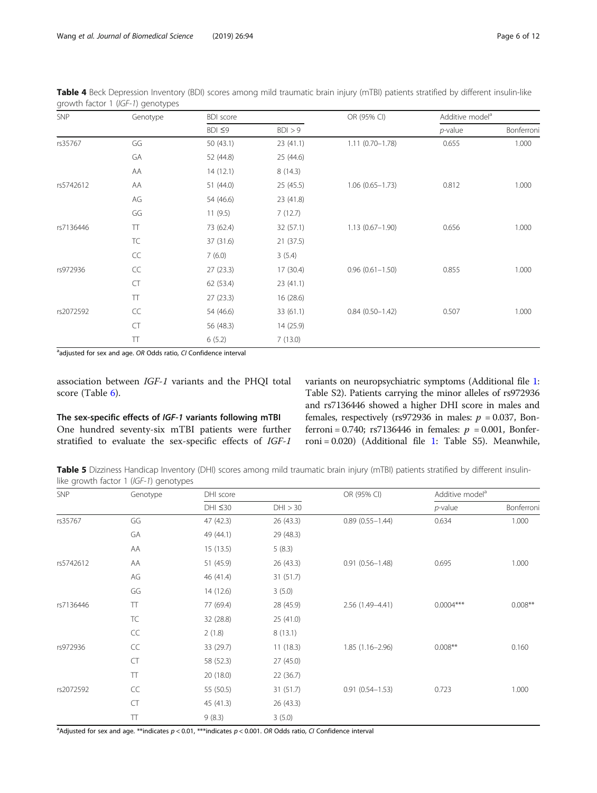| ╯<br><b>SNP</b> | Genotype  | <b>BDI</b> score |           | OR (95% CI)         | Additive model <sup>a</sup> |            |  |
|-----------------|-----------|------------------|-----------|---------------------|-----------------------------|------------|--|
|                 |           | $BDI \leq 9$     | BDI > 9   |                     | $p$ -value                  | Bonferroni |  |
| rs35767         | GG        | 50(43.1)         | 23(41.1)  | $1.11(0.70 - 1.78)$ | 0.655                       | 1.000      |  |
|                 | GA        | 52 (44.8)        | 25 (44.6) |                     |                             |            |  |
|                 | AA        | 14(12.1)         | 8(14.3)   |                     |                             |            |  |
| rs5742612       | AA        | 51(44.0)         | 25(45.5)  | $1.06(0.65 - 1.73)$ | 0.812                       | 1.000      |  |
|                 | AG        | 54 (46.6)        | 23 (41.8) |                     |                             |            |  |
|                 | GG        | 11(9.5)          | 7(12.7)   |                     |                             |            |  |
| rs7136446       | TT        | 73 (62.4)        | 32 (57.1) | $1.13(0.67 - 1.90)$ | 0.656                       | 1.000      |  |
|                 | TC        | 37 (31.6)        | 21(37.5)  |                     |                             |            |  |
|                 | CC        | 7(6.0)           | 3(5.4)    |                     |                             |            |  |
| rs972936        | CC        | 27(23.3)         | 17(30.4)  | $0.96(0.61 - 1.50)$ | 0.855                       | 1.000      |  |
|                 | CT        | 62 (53.4)        | 23(41.1)  |                     |                             |            |  |
|                 | TΤ        | 27(23.3)         | 16(28.6)  |                     |                             |            |  |
| rs2072592       | CC        | 54 (46.6)        | 33 (61.1) | $0.84(0.50 - 1.42)$ | 0.507                       | 1.000      |  |
|                 | <b>CT</b> | 56 (48.3)        | 14 (25.9) |                     |                             |            |  |
|                 | $\top$    | 6(5.2)           | 7(13.0)   |                     |                             |            |  |

<span id="page-5-0"></span>Table 4 Beck Depression Inventory (BDI) scores among mild traumatic brain injury (mTBI) patients stratified by different insulin-like growth factor 1 (IGF-1) genotypes

<sup>a</sup>adjusted for sex and age. OR Odds ratio, CI Confidence interval

association between IGF-1 variants and the PHQI total score (Table [6](#page-6-0)).

### The sex-specific effects of IGF-1 variants following mTBI

One hundred seventy-six mTBI patients were further stratified to evaluate the sex-specific effects of IGF-1 variants on neuropsychiatric symptoms (Additional file [1](#page-9-0): Table S2). Patients carrying the minor alleles of rs972936 and rs7136446 showed a higher DHI score in males and females, respectively (rs972936 in males:  $p = 0.037$ , Bonferroni = 0.740; rs7136446 in females:  $p = 0.001$ , Bonferroni = 0.020) (Additional file [1](#page-9-0): Table S5). Meanwhile,

Table 5 Dizziness Handicap Inventory (DHI) scores among mild traumatic brain injury (mTBI) patients stratified by different insulinlike growth factor 1 (IGF-1) genotypes

| <b>SNP</b> | Genotype   | DHI score |           | OR (95% CI)         | Additive model <sup>a</sup> |            |  |
|------------|------------|-----------|-----------|---------------------|-----------------------------|------------|--|
|            |            | DHI ≤30   | DHI > 30  |                     | $p$ -value                  | Bonferroni |  |
| rs35767    | GG         | 47 (42.3) | 26 (43.3) | $0.89(0.55 - 1.44)$ | 0.634                       | 1.000      |  |
|            | GA         | 49 (44.1) | 29 (48.3) |                     |                             |            |  |
|            | AA         | 15(13.5)  | 5(8.3)    |                     |                             |            |  |
| rs5742612  | AA         | 51 (45.9) | 26(43.3)  | $0.91(0.56 - 1.48)$ | 0.695                       | 1.000      |  |
|            | AG         | 46 (41.4) | 31(51.7)  |                     |                             |            |  |
|            | GG         | 14(12.6)  | 3(5.0)    |                     |                             |            |  |
| rs7136446  | $\top\top$ | 77 (69.4) | 28 (45.9) | 2.56 (1.49-4.41)    | $0.0004***$                 | $0.008**$  |  |
|            | TC         | 32 (28.8) | 25 (41.0) |                     |                             |            |  |
|            | CC         | 2(1.8)    | 8(13.1)   |                     |                             |            |  |
| rs972936   | CC         | 33 (29.7) | 11(18.3)  | $1.85(1.16 - 2.96)$ | $0.008***$                  | 0.160      |  |
|            | CT         | 58 (52.3) | 27 (45.0) |                     |                             |            |  |
|            | $\top$     | 20 (18.0) | 22 (36.7) |                     |                             |            |  |
| rs2072592  | CC         | 55 (50.5) | 31(51.7)  | $0.91(0.54 - 1.53)$ | 0.723                       | 1.000      |  |
|            | CT         | 45 (41.3) | 26 (43.3) |                     |                             |            |  |
|            | Π          | 9(8.3)    | 3(5.0)    |                     |                             |            |  |

<sup>a</sup>Adjusted for sex and age. \*\*indicates  $p < 0.01$ , \*\*\*indicates  $p < 0.001$ . OR Odds ratio, CI Confidence interval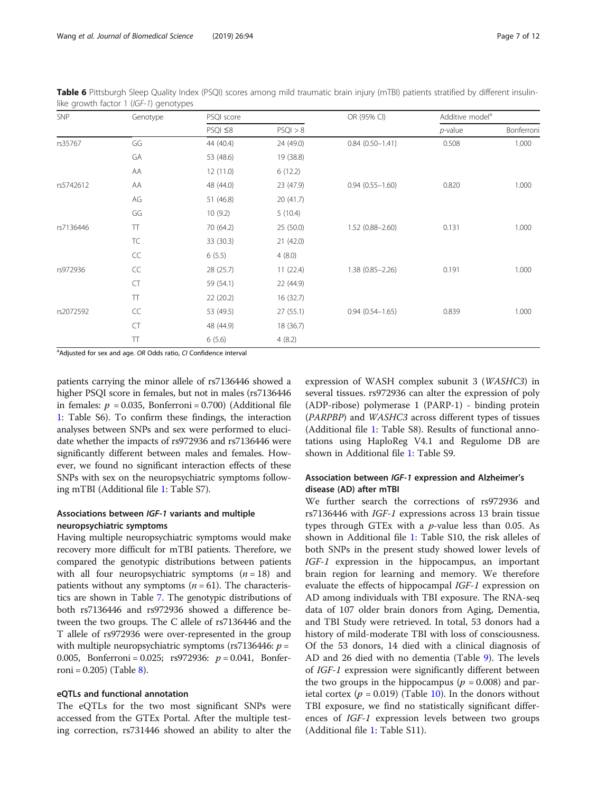<span id="page-6-0"></span>Wang et al. Journal of Biomedical Science (2019) 26:94 Page 7 of 12

| <b>SNP</b> | Genotype  | PSQI score    |           | OR (95% CI)         | Additive model <sup>a</sup> |            |
|------------|-----------|---------------|-----------|---------------------|-----------------------------|------------|
|            |           | $PSQI \leq 8$ | PSQI > 8  |                     | $p$ -value                  | Bonferroni |
| rs35767    | GG        | 44 (40.4)     | 24 (49.0) | $0.84(0.50 - 1.41)$ | 0.508                       | 1.000      |
|            | GA        | 53 (48.6)     | 19 (38.8) |                     |                             |            |
|            | AA        | 12(11.0)      | 6(12.2)   |                     |                             |            |
| rs5742612  | AA        | 48 (44.0)     | 23 (47.9) | $0.94(0.55 - 1.60)$ | 0.820                       | 1.000      |
|            | AG        | 51 (46.8)     | 20(41.7)  |                     |                             |            |
|            | GG        | 10(9.2)       | 5(10.4)   |                     |                             |            |
| rs7136446  | TΤ        | 70 (64.2)     | 25(50.0)  | $1.52(0.88 - 2.60)$ | 0.131                       | 1.000      |
|            | TC        | 33 (30.3)     | 21(42.0)  |                     |                             |            |
|            | CC        | 6(5.5)        | 4(8.0)    |                     |                             |            |
| rs972936   | CC        | 28 (25.7)     | 11(22.4)  | $1.38(0.85 - 2.26)$ | 0.191                       | 1.000      |
|            | <b>CT</b> | 59 (54.1)     | 22 (44.9) |                     |                             |            |
|            | $\top$    | 22 (20.2)     | 16 (32.7) |                     |                             |            |
| rs2072592  | CC        | 53 (49.5)     | 27(55.1)  | $0.94(0.54 - 1.65)$ | 0.839                       | 1.000      |
|            | CT        | 48 (44.9)     | 18 (36.7) |                     |                             |            |
|            | TΤ        | 6(5.6)        | 4(8.2)    |                     |                             |            |

Table 6 Pittsburgh Sleep Quality Index (PSQI) scores among mild traumatic brain injury (mTBI) patients stratified by different insulin- $\frac{1}{2}$ 

<sup>a</sup>Adjusted for sex and age. OR Odds ratio, CI Confidence interval

patients carrying the minor allele of rs7136446 showed a higher PSQI score in females, but not in males (rs7136446 in females:  $p = 0.035$ , Bonferroni = 0.700) (Additional file [1:](#page-9-0) Table S6). To confirm these findings, the interaction analyses between SNPs and sex were performed to elucidate whether the impacts of rs972936 and rs7136446 were significantly different between males and females. However, we found no significant interaction effects of these SNPs with sex on the neuropsychiatric symptoms following mTBI (Additional file [1](#page-9-0): Table S7).

# Associations between IGF-1 variants and multiple neuropsychiatric symptoms

Having multiple neuropsychiatric symptoms would make recovery more difficult for mTBI patients. Therefore, we compared the genotypic distributions between patients with all four neuropsychiatric symptoms  $(n = 18)$  and patients without any symptoms  $(n = 61)$ . The characteristics are shown in Table [7.](#page-7-0) The genotypic distributions of both rs7136446 and rs972936 showed a difference between the two groups. The C allele of rs7136446 and the T allele of rs972936 were over-represented in the group with multiple neuropsychiatric symptoms (rs7136446:  $p =$ 0.005, Bonferroni = 0.025; rs972936:  $p = 0.041$ , Bonfer $r$ oni = 0.205) (Table [8\)](#page-7-0).

# eQTLs and functional annotation

The eQTLs for the two most significant SNPs were accessed from the GTEx Portal. After the multiple testing correction, rs731446 showed an ability to alter the expression of WASH complex subunit 3 (WASHC3) in several tissues. rs972936 can alter the expression of poly (ADP-ribose) polymerase 1 (PARP-1) - binding protein (PARPBP) and WASHC3 across different types of tissues (Additional file [1](#page-9-0): Table S8). Results of functional annotations using HaploReg V4.1 and Regulome DB are shown in Additional file [1](#page-9-0): Table S9.

# Association between IGF-1 expression and Alzheimer's disease (AD) after mTBI

We further search the corrections of rs972936 and rs7136446 with IGF-1 expressions across 13 brain tissue types through GTEx with a  $p$ -value less than 0.05. As shown in Additional file [1](#page-9-0): Table S10, the risk alleles of both SNPs in the present study showed lower levels of IGF-1 expression in the hippocampus, an important brain region for learning and memory. We therefore evaluate the effects of hippocampal IGF-1 expression on AD among individuals with TBI exposure. The RNA-seq data of 107 older brain donors from Aging, Dementia, and TBI Study were retrieved. In total, 53 donors had a history of mild-moderate TBI with loss of consciousness. Of the 53 donors, 14 died with a clinical diagnosis of AD and 26 died with no dementia (Table [9\)](#page-8-0). The levels of IGF-1 expression were significantly different between the two groups in the hippocampus ( $p = 0.008$ ) and parietal cortex ( $p = 0.019$ ) (Table [10\)](#page-8-0). In the donors without TBI exposure, we find no statistically significant differences of IGF-1 expression levels between two groups (Additional file [1](#page-9-0): Table S11).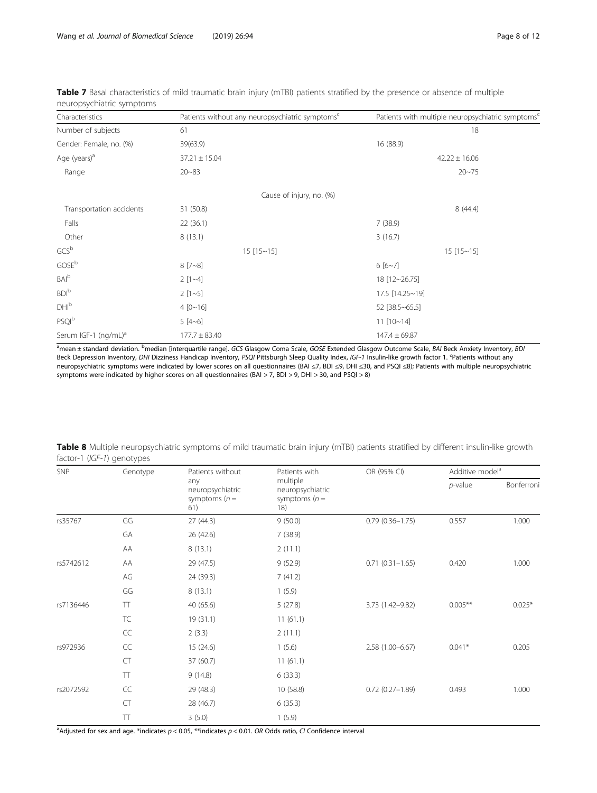| Characteristics                  | Patients without any neuropsychiatric symptoms <sup>c</sup> | Patients with multiple neuropsychiatric symptoms <sup>c</sup> |
|----------------------------------|-------------------------------------------------------------|---------------------------------------------------------------|
| Number of subjects               | 61                                                          | 18                                                            |
| Gender: Female, no. (%)          | 39(63.9)                                                    | 16 (88.9)                                                     |
| Age (years) <sup>a</sup>         | $37.21 \pm 15.04$                                           | $42.22 \pm 16.06$                                             |
| Range                            | $20 - 83$                                                   | $20 - 75$                                                     |
|                                  | Cause of injury, no. (%)                                    |                                                               |
| Transportation accidents         | 31 (50.8)                                                   | 8(44.4)                                                       |
| Falls                            | 22(36.1)                                                    | 7(38.9)                                                       |
| Other                            | 8(13.1)                                                     | 3(16.7)                                                       |
| $GCS^b$                          | $15$ [ $15 \sim 15$ ]                                       | $15$ [ $15 \sim 15$ ]                                         |
| $GOSE^b$                         | $8 [7 - 8]$                                                 | $6[6-7]$                                                      |
| <b>BAI</b> b                     | $2[1-4]$                                                    | 18 [12~26.75]                                                 |
| BDI <sup>b</sup>                 | $2[1-5]$                                                    | 17.5 [14.25~19]                                               |
| DH <sup>b</sup>                  | $4 [0 \sim 16]$                                             | 52 [38.5~65.5]                                                |
| <b>PSQI</b> b                    | $5[4-6]$                                                    | $11$ [10~14]                                                  |
| Serum IGF-1 (ng/mL) <sup>a</sup> | $177.7 \pm 83.40$                                           | $147.4 \pm 69.87$                                             |

<span id="page-7-0"></span>

|                           | Table 7 Basal characteristics of mild traumatic brain injury (mTBI) patients stratified by the presence or absence of multiple |
|---------------------------|--------------------------------------------------------------------------------------------------------------------------------|
| neuropsychiatric symptoms |                                                                                                                                |

<sup>a</sup>mean±standard deviation. <sup>b</sup>median [interquartile range]. GCS Glasgow Coma Scale, GOSE Extended Glasgow Outcome Scale, *BAI* Beck Anxiety Inventory, *BD*I Beck Depression Inventory, DHI Dizziness Handicap Inventory, PSQI Pittsburgh Sleep Quality Index, IGF-1 Insulin-like growth factor 1. <sup>c</sup>Patients without any neuropsychiatric symptoms were indicated by lower scores on all questionnaires (BAI ≤7, BDI ≤9, DHI ≤30, and PSQI ≤8); Patients with multiple neuropsychiatric symptoms were indicated by higher scores on all questionnaires (BAI > 7, BDI > 9, DHI > 30, and PSQI > 8)

| Table 8 Multiple neuropsychiatric symptoms of mild traumatic brain injury (mTBI) patients stratified by different insulin-like growth |  |  |  |  |  |  |
|---------------------------------------------------------------------------------------------------------------------------------------|--|--|--|--|--|--|
| factor-1 ( <i>IGF-1</i> ) genotypes                                                                                                   |  |  |  |  |  |  |

| <b>SNP</b> | Genotype                                          | Patients without | Patients with                                          | OR (95% CI)         | Additive model <sup>a</sup> |            |
|------------|---------------------------------------------------|------------------|--------------------------------------------------------|---------------------|-----------------------------|------------|
|            | any<br>neuropsychiatric<br>symptoms $(n =$<br>61) |                  | multiple<br>neuropsychiatric<br>symptoms $(n =$<br>18) |                     | $p$ -value                  | Bonferroni |
| rs35767    | GG                                                | 27 (44.3)        | 9(50.0)                                                | $0.79(0.36 - 1.75)$ | 0.557                       | 1.000      |
|            | GA                                                | 26 (42.6)        | 7(38.9)                                                |                     |                             |            |
|            | AA                                                | 8(13.1)          | 2(11.1)                                                |                     |                             |            |
| rs5742612  | AA                                                | 29 (47.5)        | 9(52.9)                                                | $0.71(0.31 - 1.65)$ | 0.420                       | 1.000      |
|            | AG                                                | 24 (39.3)        | 7(41.2)                                                |                     |                             |            |
|            | GG                                                | 8(13.1)          | 1(5.9)                                                 |                     |                             |            |
| rs7136446  | $\top$                                            | 40 (65.6)        | 5(27.8)                                                | 3.73 (1.42-9.82)    | $0.005***$                  | $0.025*$   |
|            | <b>TC</b>                                         | 19 (31.1)        | 11(61.1)                                               |                     |                             |            |
|            | CC                                                | 2(3.3)           | 2(11.1)                                                |                     |                             |            |
| rs972936   | CC                                                | 15(24.6)         | 1(5.6)                                                 | $2.58(1.00 - 6.67)$ | $0.041*$                    | 0.205      |
|            | CT                                                | 37 (60.7)        | 11(61.1)                                               |                     |                             |            |
|            | $\top$                                            | 9(14.8)          | 6(33.3)                                                |                     |                             |            |
| rs2072592  | CC                                                | 29 (48.3)        | 10 (58.8)                                              | $0.72(0.27 - 1.89)$ | 0.493                       | 1.000      |
|            | CT                                                | 28 (46.7)        | 6(35.3)                                                |                     |                             |            |
|            | $\top$                                            | 3(5.0)           | 1(5.9)                                                 |                     |                             |            |

<sup>a</sup>Adjusted for sex and age. \*indicates  $p < 0.05$ , \*\*indicates  $p < 0.01$ . OR Odds ratio, CI Confidence interval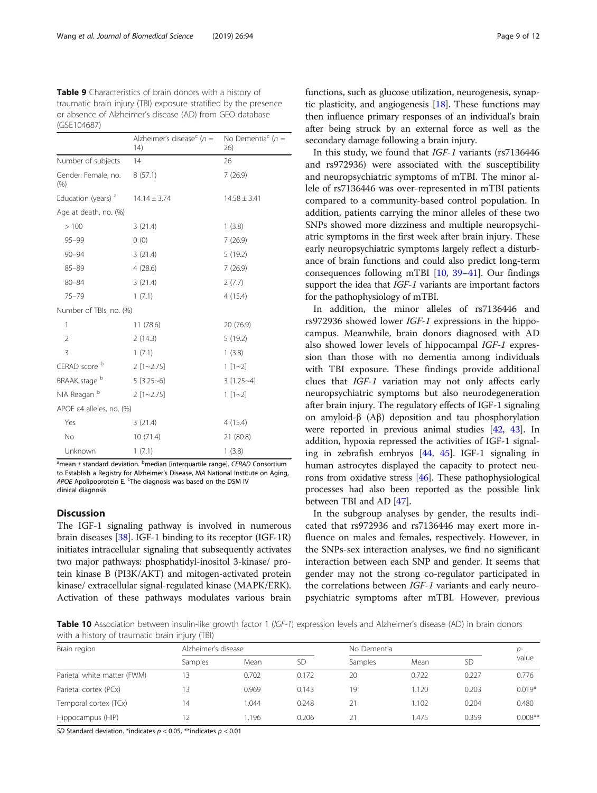<span id="page-8-0"></span>Table 9 Characteristics of brain donors with a history of traumatic brain injury (TBI) exposure stratified by the presence or absence of Alzheimer's disease (AD) from GEO database (GSE104687)

|                                | Alzheimer's disease <sup>c</sup> ( $n =$<br>(14) | No Dementia <sup>c</sup> ( $n =$<br>26) |  |
|--------------------------------|--------------------------------------------------|-----------------------------------------|--|
| Number of subjects             | 14                                               | 26                                      |  |
| Gender: Female, no.<br>(% )    | 8(57.1)                                          | 7(26.9)                                 |  |
| Education (years) <sup>a</sup> | $14.14 \pm 3.74$                                 | $14.58 \pm 3.41$                        |  |
| Age at death, no. (%)          |                                                  |                                         |  |
| >100                           | 3(21.4)                                          | 1(3.8)                                  |  |
| $95 - 99$                      | 0(0)                                             | 7(26.9)                                 |  |
| $90 - 94$                      | 3(21.4)                                          | 5(19.2)                                 |  |
| $85 - 89$                      | 4(28.6)                                          | 7(26.9)                                 |  |
| $80 - 84$                      | 3(21.4)                                          | 2(7.7)                                  |  |
| $75 - 79$                      | 1(7.1)                                           | 4(15.4)                                 |  |
| Number of TBIs, no. (%)        |                                                  |                                         |  |
| 1                              | 11(78.6)                                         | 20 (76.9)                               |  |
| $\overline{2}$                 | 2(14.3)                                          | 5(19.2)                                 |  |
| 3                              | 1(7.1)                                           | 1(3.8)                                  |  |
| CERAD score b                  | $2$ [1~2.75]                                     | $1 [1 - 2]$                             |  |
| BRAAK stage b                  | $5$ [3.25~6]                                     | $3 [1.25 - 4]$                          |  |
| NIA Reagan <sup>b</sup>        | $2$ [1~2.75]                                     | $1[1-2]$                                |  |
| APOE ε4 alleles, no. (%)       |                                                  |                                         |  |
| Yes                            | 3(21.4)                                          | 4(15.4)                                 |  |
| No                             | 10 (71.4)                                        | 21 (80.8)                               |  |
| Unknown                        | 1(7.1)                                           | 1(3.8)                                  |  |

<sup>a</sup>mean ± standard deviation. <sup>b</sup>median [interquartile range]. *CERAD* Consortium to Establish a Registry for Alzheimer's Disease, NIA National Institute on Aging, APOE Apolipoprotein E. <sup>c</sup>The diagnosis was based on the DSM IV clinical diagnosis

# **Discussion**

The IGF-1 signaling pathway is involved in numerous brain diseases [[38\]](#page-11-0). IGF-1 binding to its receptor (IGF-1R) initiates intracellular signaling that subsequently activates two major pathways: phosphatidyl-inositol 3-kinase/ protein kinase B (PI3K/AKT) and mitogen-activated protein kinase/ extracellular signal-regulated kinase (MAPK/ERK). Activation of these pathways modulates various brain functions, such as glucose utilization, neurogenesis, synaptic plasticity, and angiogenesis  $[18]$  $[18]$  $[18]$ . These functions may then influence primary responses of an individual's brain after being struck by an external force as well as the secondary damage following a brain injury.

In this study, we found that IGF-1 variants (rs7136446 and rs972936) were associated with the susceptibility and neuropsychiatric symptoms of mTBI. The minor allele of rs7136446 was over-represented in mTBI patients compared to a community-based control population. In addition, patients carrying the minor alleles of these two SNPs showed more dizziness and multiple neuropsychiatric symptoms in the first week after brain injury. These early neuropsychiatric symptoms largely reflect a disturbance of brain functions and could also predict long-term consequences following mTBI [[10](#page-10-0), [39](#page-11-0)–[41\]](#page-11-0). Our findings support the idea that IGF-1 variants are important factors for the pathophysiology of mTBI.

In addition, the minor alleles of rs7136446 and rs972936 showed lower IGF-1 expressions in the hippocampus. Meanwhile, brain donors diagnosed with AD also showed lower levels of hippocampal IGF-1 expression than those with no dementia among individuals with TBI exposure. These findings provide additional clues that IGF-1 variation may not only affects early neuropsychiatric symptoms but also neurodegeneration after brain injury. The regulatory effects of IGF-1 signaling on amyloid-β (Aβ) deposition and tau phosphorylation were reported in previous animal studies [[42,](#page-11-0) [43](#page-11-0)]. In addition, hypoxia repressed the activities of IGF-1 signaling in zebrafish embryos [\[44](#page-11-0), [45\]](#page-11-0). IGF-1 signaling in human astrocytes displayed the capacity to protect neurons from oxidative stress [\[46\]](#page-11-0). These pathophysiological processes had also been reported as the possible link between TBI and AD [[47](#page-11-0)].

In the subgroup analyses by gender, the results indicated that rs972936 and rs7136446 may exert more influence on males and females, respectively. However, in the SNPs-sex interaction analyses, we find no significant interaction between each SNP and gender. It seems that gender may not the strong co-regulator participated in the correlations between IGF-1 variants and early neuropsychiatric symptoms after mTBI. However, previous

Table 10 Association between insulin-like growth factor 1 (IGF-1) expression levels and Alzheimer's disease (AD) in brain donors with a history of traumatic brain injury (TBI)

| Brain region                | Alzheimer's disease |       |       | No Dementia |       |       | D-        |
|-----------------------------|---------------------|-------|-------|-------------|-------|-------|-----------|
|                             | Samples             | Mean  | SD    | Samples     | Mean  | SD    | value     |
| Parietal white matter (FWM) | 3                   | 0.702 | 0.172 | 20          | 0.722 | 0.227 | 0.776     |
| Parietal cortex (PCx)       | 3                   | 0.969 | 0.143 | 19          | 1.120 | 0.203 | $0.019*$  |
| Temporal cortex (TCx)       | $\overline{4}$      | 1.044 | 0.248 |             | 1.102 | 0.204 | 0.480     |
| Hippocampus (HIP)           | 2                   | 1.196 | 0.206 |             | 1.475 | 0.359 | $0.008**$ |

SD Standard deviation. \*indicates  $p < 0.05$ , \*\*indicates  $p < 0.01$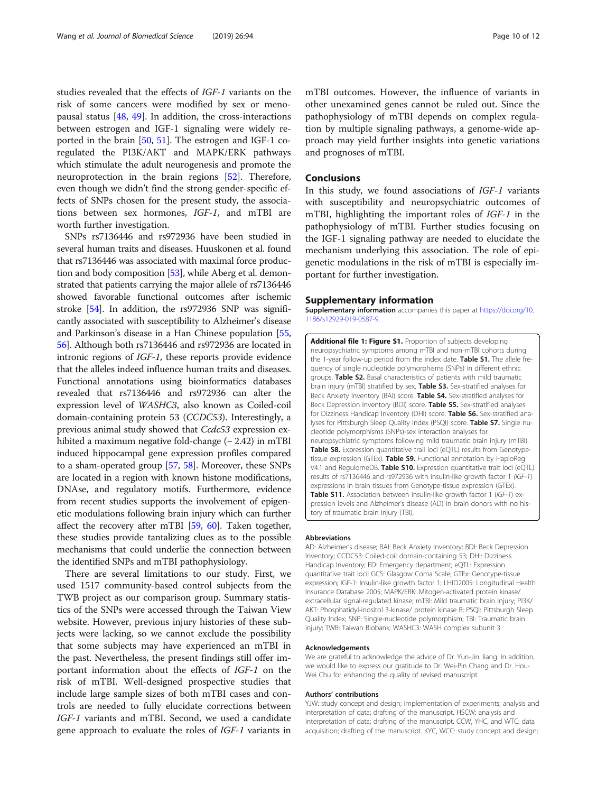<span id="page-9-0"></span>studies revealed that the effects of IGF-1 variants on the risk of some cancers were modified by sex or menopausal status [\[48,](#page-11-0) [49](#page-11-0)]. In addition, the cross-interactions between estrogen and IGF-1 signaling were widely reported in the brain [\[50](#page-11-0), [51](#page-11-0)]. The estrogen and IGF-1 coregulated the PI3K/AKT and MAPK/ERK pathways which stimulate the adult neurogenesis and promote the neuroprotection in the brain regions [[52\]](#page-11-0). Therefore, even though we didn't find the strong gender-specific effects of SNPs chosen for the present study, the associations between sex hormones, IGF-1, and mTBI are worth further investigation.

SNPs rs7136446 and rs972936 have been studied in several human traits and diseases. Huuskonen et al. found that rs7136446 was associated with maximal force production and body composition [[53](#page-11-0)], while Aberg et al. demonstrated that patients carrying the major allele of rs7136446 showed favorable functional outcomes after ischemic stroke [\[54\]](#page-11-0). In addition, the rs972936 SNP was significantly associated with susceptibility to Alzheimer's disease and Parkinson's disease in a Han Chinese population [[55](#page-11-0), [56](#page-11-0)]. Although both rs7136446 and rs972936 are located in intronic regions of IGF-1, these reports provide evidence that the alleles indeed influence human traits and diseases. Functional annotations using bioinformatics databases revealed that rs7136446 and rs972936 can alter the expression level of WASHC3, also known as Coiled-coil domain-containing protein 53 (CCDC53). Interestingly, a previous animal study showed that Ccdc53 expression exhibited a maximum negative fold-change (− 2.42) in mTBI induced hippocampal gene expression profiles compared to a sham-operated group [\[57,](#page-11-0) [58\]](#page-11-0). Moreover, these SNPs are located in a region with known histone modifications, DNAse, and regulatory motifs. Furthermore, evidence from recent studies supports the involvement of epigenetic modulations following brain injury which can further affect the recovery after mTBI [[59](#page-11-0), [60](#page-11-0)]. Taken together, these studies provide tantalizing clues as to the possible mechanisms that could underlie the connection between the identified SNPs and mTBI pathophysiology.

There are several limitations to our study. First, we used 1517 community-based control subjects from the TWB project as our comparison group. Summary statistics of the SNPs were accessed through the Taiwan View website. However, previous injury histories of these subjects were lacking, so we cannot exclude the possibility that some subjects may have experienced an mTBI in the past. Nevertheless, the present findings still offer important information about the effects of IGF-1 on the risk of mTBI. Well-designed prospective studies that include large sample sizes of both mTBI cases and controls are needed to fully elucidate corrections between IGF-1 variants and mTBI. Second, we used a candidate gene approach to evaluate the roles of IGF-1 variants in mTBI outcomes. However, the influence of variants in other unexamined genes cannot be ruled out. Since the pathophysiology of mTBI depends on complex regulation by multiple signaling pathways, a genome-wide approach may yield further insights into genetic variations and prognoses of mTBI.

# Conclusions

In this study, we found associations of IGF-1 variants with susceptibility and neuropsychiatric outcomes of mTBI, highlighting the important roles of IGF-1 in the pathophysiology of mTBI. Further studies focusing on the IGF-1 signaling pathway are needed to elucidate the mechanism underlying this association. The role of epigenetic modulations in the risk of mTBI is especially important for further investigation.

#### Supplementary information

Supplementary information accompanies this paper at [https://doi.org/10.](https://doi.org/10.1186/s12929-019-0587-9) [1186/s12929-019-0587-9.](https://doi.org/10.1186/s12929-019-0587-9)

Additional file 1: Figure S1. Proportion of subjects developing neuropsychiatric symptoms among mTBI and non-mTBI cohorts during the 1-year follow-up period from the index date. Table S1. The allele frequency of single nucleotide polymorphisms (SNPs) in different ethnic groups. Table S2. Basal characteristics of patients with mild traumatic brain injury (mTBI) stratified by sex. Table S3. Sex-stratified analyses for Beck Anxiety Inventory (BAI) score. Table S4. Sex-stratified analyses for Beck Depression Inventory (BDI) score. Table S5. Sex-stratified analyses for Dizziness Handicap Inventory (DHI) score. Table S6. Sex-stratified analyses for Pittsburgh Sleep Quality Index (PSQI) score. Table S7. Single nucleotide polymorphisms (SNPs)-sex interaction analyses for neuropsychiatric symptoms following mild traumatic brain injury (mTBI). Table S8. Expression quantitative trail loci (eQTL) results from Genotypetissue expression (GTEx). Table S9. Functional annotation by HaploReg V4.1 and RegulomeDB. Table S10. Expression quantitative trait loci (eQTL) results of rs7136446 and rs972936 with insulin-like growth factor 1 (IGF-1) expressions in brain tissues from Genotype-tissue expression (GTEx). Table S11. Association between insulin-like growth factor 1 (IGF-1) expression levels and Alzheimer's disease (AD) in brain donors with no history of traumatic brain injury (TBI).

#### Abbreviations

AD: Alzheimer's disease; BAI: Beck Anxiety Inventory; BDI: Beck Depression Inventory; CCDC53: Coiled-coil domain-containing 53; DHI: Dizziness Handicap Inventory; ED: Emergency department; eQTL: Expression quantitative trait loci; GCS: Glasgow Coma Scale; GTEx: Genotype-tissue expression; IGF-1: Insulin-like growth factor 1; LHID2005: Longitudinal Health Insurance Database 2005; MAPK/ERK: Mitogen-activated protein kinase/ extracellular signal-regulated kinase; mTBI: Mild traumatic brain injury; PI3K/ AKT: Phosphatidyl-inositol 3-kinase/ protein kinase B; PSQI: Pittsburgh Sleep Quality Index; SNP: Single-nucleotide polymorphism; TBI: Traumatic brain injury; TWB: Taiwan Biobank; WASHC3: WASH complex subunit 3

#### Acknowledgements

We are grateful to acknowledge the advice of Dr. Yun-Jin Jiang. In addition, we would like to express our gratitude to Dr. Wei-Pin Chang and Dr. Hou-Wei Chu for enhancing the quality of revised manuscript.

#### Authors' contributions

YJW: study concept and design; implementation of experiments; analysis and interpretation of data; drafting of the manuscript. HSCW: analysis and interpretation of data; drafting of the manuscript. CCW, YHC, and WTC: data acquisition; drafting of the manuscript. KYC, WCC: study concept and design;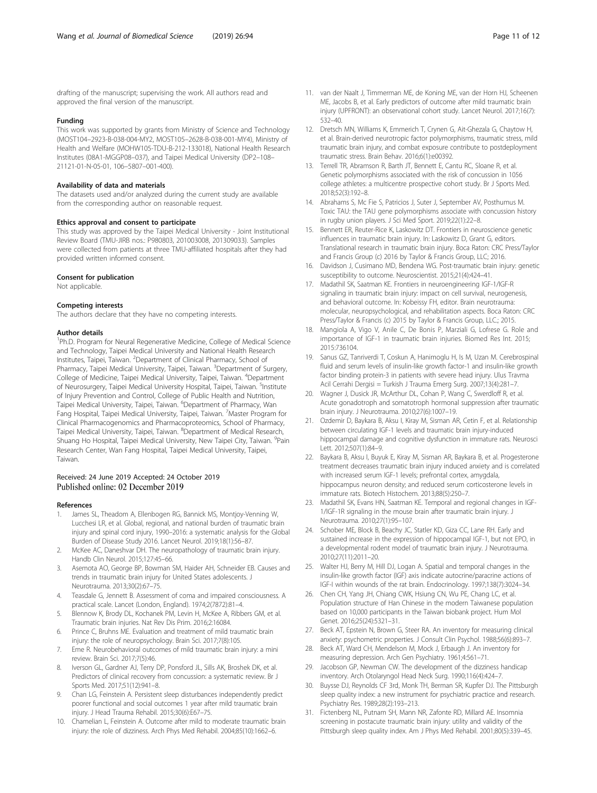<span id="page-10-0"></span>drafting of the manuscript; supervising the work. All authors read and approved the final version of the manuscript.

#### Funding

This work was supported by grants from Ministry of Science and Technology (MOST104–2923-B-038-004-MY2, MOST105–2628-B-038-001-MY4), Ministry of Health and Welfare (MOHW105-TDU-B-212-133018), National Health Research Institutes (08A1-MGGP08–037), and Taipei Medical University (DP2–108– 21121-01-N-05-01, 106–5807–001-400).

### Availability of data and materials

The datasets used and/or analyzed during the current study are available from the corresponding author on reasonable request.

#### Ethics approval and consent to participate

This study was approved by the Taipei Medical University - Joint Institutional Review Board (TMU-JIRB nos.: P980803, 201003008, 201309033). Samples were collected from patients at three TMU-affiliated hospitals after they had provided written informed consent.

#### Consent for publication

Not applicable.

#### Competing interests

The authors declare that they have no competing interests.

#### Author details

<sup>1</sup>Ph.D. Program for Neural Regenerative Medicine, College of Medical Science and Technology, Taipei Medical University and National Health Research Institutes, Taipei, Taiwan. <sup>2</sup> Department of Clinical Pharmacy, School of Pharmacy, Taipei Medical University, Taipei, Taiwan. <sup>3</sup>Department of Surgery, College of Medicine, Taipei Medical University, Taipei, Taiwan. <sup>4</sup>Department of Neurosurgery, Taipei Medical University Hospital, Taipei, Taiwan. <sup>5</sup>Institute of Injury Prevention and Control, College of Public Health and Nutrition, Taipei Medical University, Taipei, Taiwan. <sup>6</sup>Department of Pharmacy, Wan Fang Hospital, Taipei Medical University, Taipei, Taiwan. <sup>7</sup>Master Program for Clinical Pharmacogenomics and Pharmacoproteomics, School of Pharmacy, Taipei Medical University, Taipei, Taiwan. <sup>8</sup> Department of Medical Research, Shuang Ho Hospital, Taipei Medical University, New Taipei City, Taiwan. <sup>9</sup>Pain Research Center, Wan Fang Hospital, Taipei Medical University, Taipei, Taiwan.

#### Received: 24 June 2019 Accepted: 24 October 2019 Published online: 02 December 2019

#### References

- 1. James SL, Theadom A, Ellenbogen RG, Bannick MS, Montjoy-Venning W, Lucchesi LR, et al. Global, regional, and national burden of traumatic brain injury and spinal cord injury, 1990–2016: a systematic analysis for the Global Burden of Disease Study 2016. Lancet Neurol. 2019;18(1):56–87.
- 2. McKee AC, Daneshvar DH. The neuropathology of traumatic brain injury. Handb Clin Neurol. 2015;127:45–66.
- 3. Asemota AO, George BP, Bowman SM, Haider AH, Schneider EB. Causes and trends in traumatic brain injury for United States adolescents. J Neurotrauma. 2013;30(2):67–75.
- 4. Teasdale G, Jennett B. Assessment of coma and impaired consciousness. A practical scale. Lancet (London, England). 1974;2(7872):81–4.
- 5. Blennow K, Brody DL, Kochanek PM, Levin H, McKee A, Ribbers GM, et al. Traumatic brain injuries. Nat Rev Dis Prim. 2016;2:16084.
- 6. Prince C, Bruhns ME. Evaluation and treatment of mild traumatic brain injury: the role of neuropsychology. Brain Sci. 2017;7(8):105.
- 7. Eme R. Neurobehavioral outcomes of mild traumatic brain injury: a mini review. Brain Sci. 2017;7(5):46.
- 8. Iverson GL, Gardner AJ, Terry DP, Ponsford JL, Sills AK, Broshek DK, et al. Predictors of clinical recovery from concussion: a systematic review. Br J Sports Med. 2017;51(12):941–8.
- 9. Chan LG, Feinstein A. Persistent sleep disturbances independently predict poorer functional and social outcomes 1 year after mild traumatic brain injury. J Head Trauma Rehabil. 2015;30(6):E67–75.
- 10. Chamelian L, Feinstein A. Outcome after mild to moderate traumatic brain injury: the role of dizziness. Arch Phys Med Rehabil. 2004;85(10):1662–6.
- 11. van der Naalt J, Timmerman ME, de Koning ME, van der Horn HJ, Scheenen ME, Jacobs B, et al. Early predictors of outcome after mild traumatic brain injury (UPFRONT): an observational cohort study. Lancet Neurol. 2017;16(7): 532–40.
- 12. Dretsch MN, Williams K, Emmerich T, Crynen G, Ait-Ghezala G, Chaytow H, et al. Brain-derived neurotropic factor polymorphisms, traumatic stress, mild traumatic brain injury, and combat exposure contribute to postdeployment traumatic stress. Brain Behav. 2016;6(1):e00392.
- 13. Terrell TR, Abramson R, Barth JT, Bennett E, Cantu RC, Sloane R, et al. Genetic polymorphisms associated with the risk of concussion in 1056 college athletes: a multicentre prospective cohort study. Br J Sports Med. 2018;52(3):192–8.
- 14. Abrahams S, Mc Fie S, Patricios J, Suter J, September AV, Posthumus M. Toxic TAU: the TAU gene polymorphisms associate with concussion history in rugby union players. J Sci Med Sport. 2019;22(1):22–8.
- 15. Bennett ER, Reuter-Rice K, Laskowitz DT. Frontiers in neuroscience genetic influences in traumatic brain injury. In: Laskowitz D, Grant G, editors. Translational research in traumatic brain injury. Boca Raton: CRC Press/Taylor and Francis Group (c) 2016 by Taylor & Francis Group, LLC; 2016.
- 16. Davidson J, Cusimano MD, Bendena WG. Post-traumatic brain injury: genetic susceptibility to outcome. Neuroscientist. 2015;21(4):424–41.
- 17. Madathil SK, Saatman KE. Frontiers in neuroengineering IGF-1/IGF-R signaling in traumatic brain injury: impact on cell survival, neurogenesis, and behavioral outcome. In: Kobeissy FH, editor. Brain neurotrauma: molecular, neuropsychological, and rehabilitation aspects. Boca Raton: CRC Press/Taylor & Francis (c) 2015 by Taylor & Francis Group, LLC.; 2015.
- 18. Mangiola A, Vigo V, Anile C, De Bonis P, Marziali G, Lofrese G. Role and importance of IGF-1 in traumatic brain injuries. Biomed Res Int. 2015; 2015:736104.
- 19. Sanus GZ, Tanriverdi T, Coskun A, Hanimoglu H, Is M, Uzan M. Cerebrospinal fluid and serum levels of insulin-like growth factor-1 and insulin-like growth factor binding protein-3 in patients with severe head injury. Ulus Travma Acil Cerrahi Dergisi = Turkish J Trauma Emerg Surg. 2007;13(4):281–7.
- 20. Wagner J, Dusick JR, McArthur DL, Cohan P, Wang C, Swerdloff R, et al. Acute gonadotroph and somatotroph hormonal suppression after traumatic brain injury. J Neurotrauma. 2010;27(6):1007–19.
- 21. Ozdemir D, Baykara B, Aksu I, Kiray M, Sisman AR, Cetin F, et al. Relationship between circulating IGF-1 levels and traumatic brain injury-induced hippocampal damage and cognitive dysfunction in immature rats. Neurosci Lett. 2012;507(1):84–9.
- 22. Baykara B, Aksu I, Buyuk E, Kiray M, Sisman AR, Baykara B, et al. Progesterone treatment decreases traumatic brain injury induced anxiety and is correlated with increased serum IGF-1 levels; prefrontal cortex, amygdala, hippocampus neuron density; and reduced serum corticosterone levels in immature rats. Biotech Histochem. 2013;88(5):250–7.
- 23. Madathil SK, Evans HN, Saatman KE. Temporal and regional changes in IGF-1/IGF-1R signaling in the mouse brain after traumatic brain injury. J Neurotrauma. 2010;27(1):95–107.
- 24. Schober ME, Block B, Beachy JC, Statler KD, Giza CC, Lane RH. Early and sustained increase in the expression of hippocampal IGF-1, but not EPO, in a developmental rodent model of traumatic brain injury. J Neurotrauma. 2010;27(11):2011–20.
- 25. Walter HJ, Berry M, Hill DJ, Logan A. Spatial and temporal changes in the insulin-like growth factor (IGF) axis indicate autocrine/paracrine actions of IGF-I within wounds of the rat brain. Endocrinology. 1997;138(7):3024–34.
- 26. Chen CH, Yang JH, Chiang CWK, Hsiung CN, Wu PE, Chang LC, et al. Population structure of Han Chinese in the modern Taiwanese population based on 10,000 participants in the Taiwan biobank project. Hum Mol Genet. 2016;25(24):5321–31.
- 27. Beck AT, Epstein N, Brown G, Steer RA. An inventory for measuring clinical anxiety: psychometric properties. J Consult Clin Psychol. 1988;56(6):893–7.
- 28. Beck AT, Ward CH, Mendelson M, Mock J, Erbaugh J. An inventory for measuring depression. Arch Gen Psychiatry. 1961;4:561–71.
- 29. Jacobson GP, Newman CW. The development of the dizziness handicap inventory. Arch Otolaryngol Head Neck Surg. 1990;116(4):424–7.
- 30. Buysse DJ, Reynolds CF 3rd, Monk TH, Berman SR, Kupfer DJ. The Pittsburgh sleep quality index: a new instrument for psychiatric practice and research. Psychiatry Res. 1989;28(2):193–213.
- 31. Fictenberg NL, Putnam SH, Mann NR, Zafonte RD, Millard AE. Insomnia screening in postacute traumatic brain injury: utility and validity of the Pittsburgh sleep quality index. Am J Phys Med Rehabil. 2001;80(5):339–45.